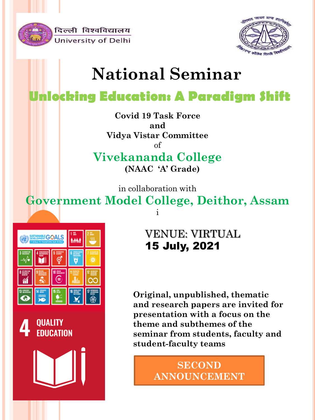

दिल्ली विश्वविद्यालय University of Delhi



# **National Seminar**

## **Unlocking Education: A Paradigm Shift**

**Covid 19 Task Force and Vidya Vistar Committee** of

**Vivekananda College (NAAC 'A' Grade)**

in collaboration with

**Government Model College, Deithor, Assam** i





VENUE: VIRTUAL 15 July, 2021

**Original, unpublished, thematic and research papers are invited for presentation with a focus on the theme and subthemes of the seminar from students, faculty and student-faculty teams**

> **SECOND ANNOUNCEMENT**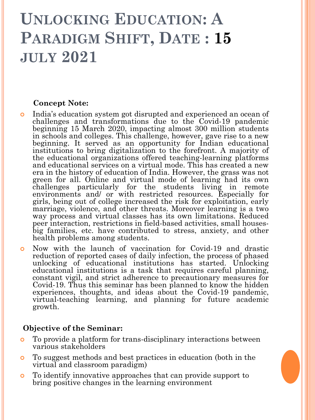# **UNLOCKING EDUCATION: A PARADIGM SHIFT, DATE : 15 JULY 2021**

#### **Concept Note:**

- India's education system got disrupted and experienced an ocean of challenges and transformations due to the Covid-19 pandemic beginning 15 March 2020, impacting almost 300 million students in schools and colleges. This challenge, however, gave rise to a new beginning. It served as an opportunity for Indian educational institutions to bring digitalization to the forefront. A majority of the educational organizations offered teaching-learning platforms and educational services on a virtual mode. This has created a new era in the history of education of India. However, the grass was not green for all. Online and virtual mode of learning had its own challenges particularly for the students living in remote environments and/ or with restricted resources. Especially for girls, being out of college increased the risk for exploitation, early marriage, violence, and other threats. Moreover learning is a two way process and virtual classes has its own limitations. Reduced peer interaction, restrictions in field-based activities, small housesbig families, etc. have contributed to stress, anxiety, and other health problems among students.
- Now with the launch of vaccination for Covid-19 and drastic reduction of reported cases of daily infection, the process of phased unlocking of educational institutions has started. Unlocking educational institutions is a task that requires careful planning, constant vigil, and strict adherence to precautionary measures for Covid-19. Thus this seminar has been planned to know the hidden experiences, thoughts, and ideas about the Covid-19 pandemic, virtual-teaching learning, and planning for future academic growth.

#### **Objective of the Seminar:**

- To provide a platform for trans-disciplinary interactions between various stakeholders
- To suggest methods and best practices in education (both in the virtual and classroom paradigm)
- To identify innovative approaches that can provide support to bring positive changes in the learning environment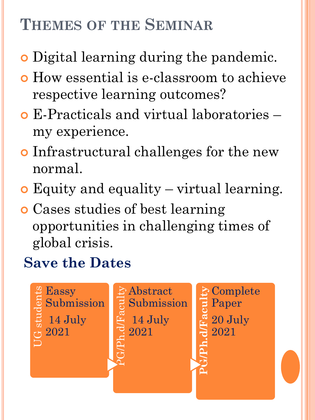# **THEMES OF THE SEMINAR**

- **o** Digital learning during the pandemic.
- How essential is e-classroom to achieve respective learning outcomes?
- E-Practicals and virtual laboratories my experience.
- Infrastructural challenges for the new normal.
- Equity and equality virtual learning.
- Cases studies of best learning opportunities in challenging times of global crisis.

## **Save the Dates**

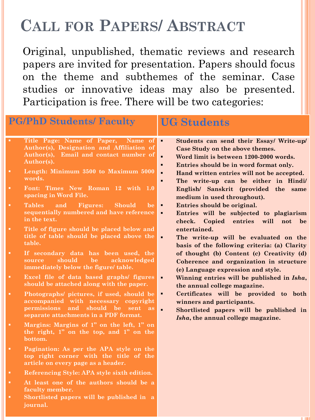## **CALL FOR PAPERS/ ABSTRACT**

Original, unpublished, thematic reviews and research papers are invited for presentation. Papers should focus on the theme and subthemes of the seminar. Case studies or innovative ideas may also be presented. Participation is free. There will be two categories:

|             | <b>PG/PhD Students/ Faculty</b>                                                                                                                                    | <b>UG Students</b>                                                                                                                                                                                                                                                                                                                                                                                                                                                                                                                                                                                                                                                                                                                                                                                                                                                                                                                                                                                                                                                                                            |
|-------------|--------------------------------------------------------------------------------------------------------------------------------------------------------------------|---------------------------------------------------------------------------------------------------------------------------------------------------------------------------------------------------------------------------------------------------------------------------------------------------------------------------------------------------------------------------------------------------------------------------------------------------------------------------------------------------------------------------------------------------------------------------------------------------------------------------------------------------------------------------------------------------------------------------------------------------------------------------------------------------------------------------------------------------------------------------------------------------------------------------------------------------------------------------------------------------------------------------------------------------------------------------------------------------------------|
| <b>TEL:</b> | Title Page: Name of Paper,<br>Name of<br>Author(s), Designation and Affiliation of<br>Author(s), Email and contact number of<br>Author(s).                         | $\blacksquare$<br>Students can send their Essay/ Write-up/<br>Case Study on the above themes.<br>Word limit is between 1200-2000 words.<br>$\blacksquare$<br>Entries should be in word format only.<br>$\blacksquare$<br>Hand written entries will not be accepted.<br>$\blacksquare$<br>The write-up can be either in Hindi/<br>$\blacksquare$<br>English/ Sanskrit (provided the same<br>medium in used throughout).<br>Entries should be original.<br>Entries will be subjected to plagiarism<br>$\blacksquare$<br>check.<br>Copied<br>entries<br>will<br>not<br>be<br>entertained.<br>$\blacksquare$<br>The write-up will be evaluated on the<br>basis of the following criteria: (a) Clarity<br>of thought (b) Content (c) Creativity (d)<br>Coherence and organization in structure<br>(e) Language expression and style.<br>Winning entries will be published in Isha,<br>$\blacksquare$<br>the annual college magazine.<br>Certificates will be provided to both<br>٠<br>winners and participants.<br>Shortlisted papers will be published in<br>$\blacksquare$<br>Isha, the annual college magazine. |
|             | Length: Minimum 3500 to Maximum 5000<br>words.                                                                                                                     |                                                                                                                                                                                                                                                                                                                                                                                                                                                                                                                                                                                                                                                                                                                                                                                                                                                                                                                                                                                                                                                                                                               |
| ٠           | Font: Times New Roman 12 with 1.0<br>spacing in Word File.                                                                                                         |                                                                                                                                                                                                                                                                                                                                                                                                                                                                                                                                                                                                                                                                                                                                                                                                                                                                                                                                                                                                                                                                                                               |
| ٠           | <b>Tables</b><br>Figures:<br><b>Should</b><br>and<br>be<br>sequentially numbered and have reference<br>in the text.                                                |                                                                                                                                                                                                                                                                                                                                                                                                                                                                                                                                                                                                                                                                                                                                                                                                                                                                                                                                                                                                                                                                                                               |
| <b>CO</b>   | Title of figure should be placed below and<br>title of table should be placed above the<br>table.                                                                  |                                                                                                                                                                                                                                                                                                                                                                                                                                                                                                                                                                                                                                                                                                                                                                                                                                                                                                                                                                                                                                                                                                               |
| п           | If secondary data has been used, the<br>should<br>be<br>acknowledged<br>source<br>immediately below the figure/ table.                                             |                                                                                                                                                                                                                                                                                                                                                                                                                                                                                                                                                                                                                                                                                                                                                                                                                                                                                                                                                                                                                                                                                                               |
|             | Excel file of data based graphs/ figures<br>should be attached along with the paper.                                                                               |                                                                                                                                                                                                                                                                                                                                                                                                                                                                                                                                                                                                                                                                                                                                                                                                                                                                                                                                                                                                                                                                                                               |
| п           | Photographs/ pictures, if used, should be<br>accompanied with necessary copyright<br>permissions and should be sent<br>as<br>separate attachments in a PDF format. |                                                                                                                                                                                                                                                                                                                                                                                                                                                                                                                                                                                                                                                                                                                                                                                                                                                                                                                                                                                                                                                                                                               |
|             | Margins: Margins of 1" on the left, 1" on<br>the right, 1" on the top, and 1" on the<br>bottom.                                                                    |                                                                                                                                                                                                                                                                                                                                                                                                                                                                                                                                                                                                                                                                                                                                                                                                                                                                                                                                                                                                                                                                                                               |
| ٠           | Pagination: As per the APA style on the<br>top right corner with the title of the<br>article on every page as a header.                                            |                                                                                                                                                                                                                                                                                                                                                                                                                                                                                                                                                                                                                                                                                                                                                                                                                                                                                                                                                                                                                                                                                                               |
|             | Referencing Style: APA style sixth edition.                                                                                                                        |                                                                                                                                                                                                                                                                                                                                                                                                                                                                                                                                                                                                                                                                                                                                                                                                                                                                                                                                                                                                                                                                                                               |
|             | At least one of the authors should be a<br>faculty member.<br>Shortlisted papers will be published in a                                                            |                                                                                                                                                                                                                                                                                                                                                                                                                                                                                                                                                                                                                                                                                                                                                                                                                                                                                                                                                                                                                                                                                                               |

**journal.**